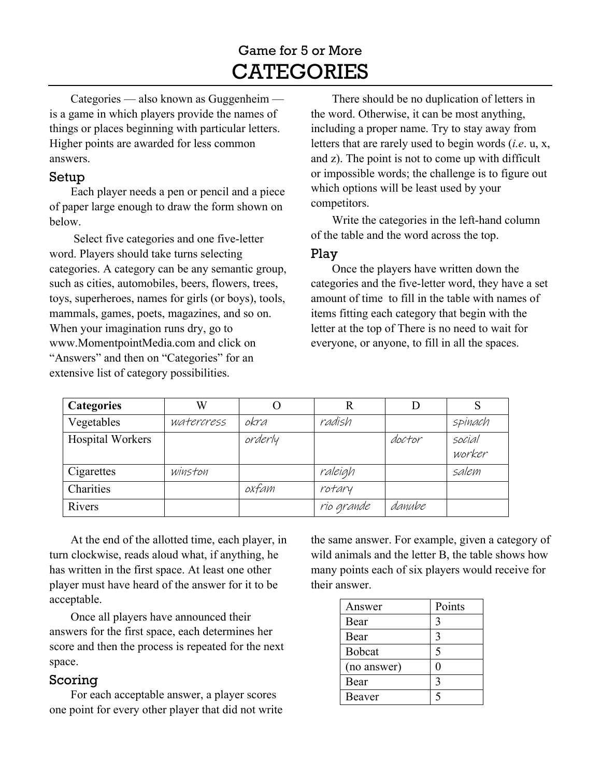## Game for 5 or More **CATEGORIES**

Categories — also known as Guggenheim is a game in which players provide the names of things or places beginning with particular letters. Higher points are awarded for less common answers.

## Setup

Each player needs a pen or pencil and a piece of paper large enough to draw the form shown on below.

 Select five categories and one five-letter word. Players should take turns selecting categories. A category can be any semantic group, such as cities, automobiles, beers, flowers, trees, toys, superheroes, names for girls (or boys), tools, mammals, games, poets, magazines, and so on. When your imagination runs dry, go to www.MomentpointMedia.com and click on "Answers" and then on "Categories" for an extensive list of category possibilities.

There should be no duplication of letters in the word. Otherwise, it can be most anything, including a proper name. Try to stay away from letters that are rarely used to begin words (*i.e*. u, x, and z). The point is not to come up with difficult or impossible words; the challenge is to figure out which options will be least used by your competitors.

Write the categories in the left-hand column of the table and the word across the top.

## Play

Once the players have written down the categories and the five-letter word, they have a set amount of time to fill in the table with names of items fitting each category that begin with the letter at the top of There is no need to wait for everyone, or anyone, to fill in all the spaces.

| <b>Categories</b> | W          |         |            |        |                  |
|-------------------|------------|---------|------------|--------|------------------|
| Vegetables        | watercress | okra    | radish     |        | spinach          |
| Hospital Workers  |            | orderly |            | doctor | social<br>worker |
| Cigarettes        | winston    |         | raleigh    |        | salem            |
| Charities         |            | oxfam   | rotary     |        |                  |
| Rivers            |            |         | rio grande | danube |                  |

At the end of the allotted time, each player, in turn clockwise, reads aloud what, if anything, he has written in the first space. At least one other player must have heard of the answer for it to be acceptable.

Once all players have announced their answers for the first space, each determines her score and then the process is repeated for the next space.

## Scoring

For each acceptable answer, a player scores one point for every other player that did not write the same answer. For example, given a category of wild animals and the letter B, the table shows how many points each of six players would receive for their answer.

| Answer      | Points |  |
|-------------|--------|--|
| Bear        | 3      |  |
| Bear        | 3      |  |
| Bobcat      |        |  |
| (no answer) |        |  |
| Bear        | 3      |  |
| Beaver      |        |  |